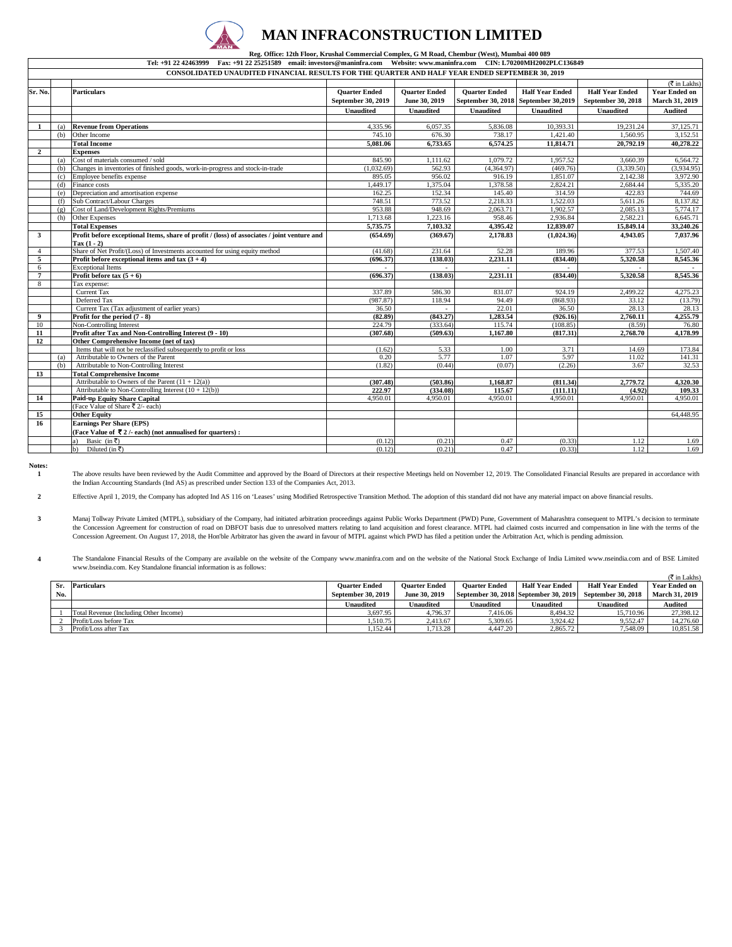

### **MAN INFRACONSTRUCTION LIMITED**

#### **Reg. Office: 12th Floor, Krushal Commercial Complex, G M Road, Chembur (West), Mumbai 400 089**<br>Tel: +91 22 42463999 Fax: +91 22 25251589 email: investors@maninfra.com Website: www.maninfra.com CIN: L70200MH2002PLC136849 Fax: +91 22 25251589 email: investors@maninfra.com

|                         | CONSOLIDATED UNAUDITED FINANCIAL RESULTS FOR THE QUARTER AND HALF YEAR ENDED SEPTEMBER 30, 2019 |                                                                                             |                      |                      |                      |                          |                        |                              |  |
|-------------------------|-------------------------------------------------------------------------------------------------|---------------------------------------------------------------------------------------------|----------------------|----------------------|----------------------|--------------------------|------------------------|------------------------------|--|
|                         |                                                                                                 |                                                                                             |                      |                      |                      |                          |                        | $(\overline{\tau}$ in Lakhs) |  |
| Sr. No.                 |                                                                                                 | <b>Particulars</b>                                                                          | <b>Quarter Ended</b> | <b>Quarter Ended</b> | <b>Quarter Ended</b> | <b>Half Year Ended</b>   | <b>Half Year Ended</b> | <b>Year Ended on</b>         |  |
|                         |                                                                                                 |                                                                                             | September 30, 2019   | June 30, 2019        | September 30, 2018   | <b>September 30,2019</b> | September 30, 2018     | <b>March 31, 2019</b>        |  |
|                         |                                                                                                 |                                                                                             | <b>Unaudited</b>     | Unaudited            | <b>Unaudited</b>     | <b>Unaudited</b>         | <b>Unaudited</b>       | Audited                      |  |
|                         |                                                                                                 |                                                                                             |                      |                      |                      |                          |                        |                              |  |
| -1                      | (a)                                                                                             | <b>Revenue from Operations</b>                                                              | 4,335.96             | 6,057.35             | 5,836.08             | 10,393.31                | 19,231.24              | 37,125.71                    |  |
|                         | (b)                                                                                             | Other Income                                                                                | 745.10               | 676.30               | 738.17               | 1,421.40                 | 1.560.95               | 3,152.51                     |  |
|                         |                                                                                                 | <b>Total Income</b>                                                                         | 5,081.06             | 6,733.65             | 6,574.25             | 11,814.71                | 20,792.19              | 40,278.22                    |  |
| $\overline{2}$          |                                                                                                 | <b>Expenses</b>                                                                             |                      |                      |                      |                          |                        |                              |  |
|                         | (a)                                                                                             | Cost of materials consumed / sold                                                           | 845.90               | 1.111.62             | 1.079.72             | 1.957.52                 | 3.660.39               | 6.564.72                     |  |
|                         | (h)                                                                                             | Changes in inventories of finished goods, work-in-progress and stock-in-trade               | (1,032.69)           | 562.93               | (4,364.97)           | (469.76)                 | (3,339.50)             | (3,934.95)                   |  |
|                         | (c)                                                                                             | Employee benefits expense                                                                   | 895.05               | 956.02               | 916.19               | 1.851.07                 | 2,142.38               | 3,972.90                     |  |
|                         | (d)                                                                                             | Finance costs                                                                               | 1.449.17             | 1.375.04             | 1.378.58             | 2,824.21                 | 2,684.44               | 5,335.20                     |  |
|                         | (e)                                                                                             | Depreciation and amortisation expense                                                       | 162.25               | 152.34               | 145.40               | 314.59                   | 422.83                 | 744.69                       |  |
|                         | (f)                                                                                             | Sub Contract/Labour Charges                                                                 | 748.51               | 773.52               | 2.218.33             | 1.522.03                 | 5.611.26               | 8.137.82                     |  |
|                         | (g)                                                                                             | Cost of Land/Development Rights/Premiums                                                    | 953.88               | 948.69               | 2,063.71             | 1,902.57                 | 2,085.13               | 5,774.17                     |  |
|                         | (h)                                                                                             | Other Expenses                                                                              | 1,713.68             | 1,223.16             | 958.46               | 2,936.84                 | 2,582.21               | 6,645.71                     |  |
|                         |                                                                                                 | <b>Total Expenses</b>                                                                       | 5,735.75             | 7,103.32             | 4.395.42             | 12,839.07                | 15,849.14              | 33,240.26                    |  |
| $\overline{\mathbf{3}}$ |                                                                                                 | Profit before exceptional Items, share of profit / (loss) of associates / joint venture and | (654.69)             | (369.67)             | 2,178.83             | (1,024.36)               | 4,943.05               | 7,037.96                     |  |
|                         |                                                                                                 | Tax $(1 - 2)$                                                                               |                      |                      |                      |                          |                        |                              |  |
| $\overline{4}$          |                                                                                                 | Share of Net Profit/(Loss) of Investments accounted for using equity method                 | (41.68)              | 231.64               | 52.28                | 189.96                   | 377.53                 | 1,507.40                     |  |
| 5                       |                                                                                                 | Profit before exceptional items and tax $(3 + 4)$                                           | (696.37)             | (138.03)             | 2,231.11             | (834.40)                 | 5,320.58               | 8,545.36                     |  |
| 6                       |                                                                                                 | <b>Exceptional Items</b>                                                                    |                      | $\overline{a}$       |                      |                          |                        |                              |  |
| $7\phantom{.0}$         |                                                                                                 | Profit before tax $(5 + 6)$                                                                 | (696.37)             | (138.03)             | 2,231.11             | (834.40)                 | 5,320.58               | 8,545.36                     |  |
| 8                       |                                                                                                 | Tax expense:                                                                                |                      |                      |                      |                          |                        |                              |  |
|                         |                                                                                                 | Current Tax                                                                                 | 337.89               | 586.30               | 831.07               | 924.19                   | 2.499.22               | 4,275.23                     |  |
|                         |                                                                                                 | Deferred Tax                                                                                | (987.87)             | 118.94               | 94.49                | (868.93)                 | 33.12                  | (13.79)                      |  |
|                         |                                                                                                 | Current Tax (Tax adjustment of earlier years)                                               | 36.50                | $\sim$               | 22.01                | 36.50                    | 28.13                  | 28.13                        |  |
| 9                       |                                                                                                 | Profit for the period (7 - 8)                                                               | (82.89)              | (843.27)             | 1,283.54             | (926.16)                 | 2,760.11               | 4,255.79                     |  |
| 10                      |                                                                                                 | <b>Non-Controlling Interest</b>                                                             | 224.79               | (333.64)             | 115.74               | (108.85)                 | (8.59)                 | 76.80                        |  |
| 11                      |                                                                                                 | Profit after Tax and Non-Controlling Interest (9 - 10)                                      | (307.68)             | (509.63)             | 1,167.80             | (817.31)                 | 2,768.70               | 4,178.99                     |  |
| 12                      |                                                                                                 | Other Comprehensive Income (net of tax)                                                     |                      |                      |                      |                          |                        |                              |  |
|                         |                                                                                                 | Items that will not be reclassified subsequently to profit or loss                          | (1.62)               | 5.33                 | 1.00                 | 3.71                     | 14.69                  | 173.84                       |  |
|                         | (a)                                                                                             | Attributable to Owners of the Parent                                                        | 0.20<br>(1.82)       | 5.77<br>(0.44)       | 1.07<br>(0.07)       | 5.97<br>(2.26)           | 11.02                  | 141.31                       |  |
| 13                      | (b)                                                                                             | Attributable to Non-Controlling Interest<br><b>Total Comprehensive Income</b>               |                      |                      |                      |                          | 3.67                   | 32.53                        |  |
|                         |                                                                                                 | Attributable to Owners of the Parent $(11 + 12(a))$                                         | (307.48)             | (503.86)             | 1.168.87             | (811.34)                 | 2,779.72               | 4,320.30                     |  |
|                         |                                                                                                 | Attributable to Non-Controlling Interest $(10 + 12(b))$                                     | 222.97               | (334.08)             | 115.67               | (111.11)                 | (4.92)                 | 109.33                       |  |
|                         |                                                                                                 | <b>Paid-up Equity Share Capital</b>                                                         |                      | 4,950.01             | 4,950.01             | 4,950.01                 |                        | 4,950.01                     |  |
| 14                      |                                                                                                 | (Face Value of Share ₹ 2/- each)                                                            | 4,950.01             |                      |                      |                          | 4,950.01               |                              |  |
| 15                      |                                                                                                 | <b>Other Equity</b>                                                                         |                      |                      |                      |                          |                        | 64,448.95                    |  |
| 16                      |                                                                                                 | <b>Earnings Per Share (EPS)</b>                                                             |                      |                      |                      |                          |                        |                              |  |
|                         |                                                                                                 | (Face Value of $\sqrt[3]{2}$ /- each) (not annualised for quarters):                        |                      |                      |                      |                          |                        |                              |  |
|                         |                                                                                                 | Basic (in $\overline{\zeta}$ )<br>a)                                                        | (0.12)               | (0.21)               | 0.47                 | (0.33)                   | 1.12                   | 1.69                         |  |
|                         |                                                                                                 | Diluted (in ₹)<br>$\mathbf{b}$                                                              | (0.12)               | (0.21)               | 0.47                 | (0.33)                   | 1.12                   | 1.69                         |  |
|                         |                                                                                                 |                                                                                             |                      |                      |                      |                          |                        |                              |  |

**Notes:**

**1** The above results have been reviewed by the Audit Committee and approved by the Board of Directors at their respective Meetings held on November 12, 2019. The Consolidated Financial Results are prepared in accordance with the Indian Accounting Standards (Ind AS) as prescribed under Section 133 of the Companies Act, 2013.

**2** Effective April 1, 2019, the Company has adopted Ind AS 116 on 'Leases' using Modified Retrospective Transition Method. The adoption of this standard did not have any material impact on above financial results.

**3** Manaj Tollway Private Limited (MTPL), subsidiary of the Company, had initiated arbitration proceedings against Public Works Department (PWD) Pune, Government of Maharashtra consequent to MTPL's decision to terminate the Concession Agreement for construction of road on DBFOT basis due to unresolved matters relating to land acquisition and forest clearance. MTPL had claimed costs incurred and compensation in line with the terms of the Concession Agreement. On August 17, 2018, the Hon'ble Arbitrator has given the award in favour of MTPL against which PWD has filed a petition under the Arbitration Act, which is pending admission.

**4** The Standalone Financial Results of the Company are available on the website of the Company www.maninfra.com and on the website of the National Stock Exchange of India Limited www.nseindia.com and of BSE Limited www.bseindia.com. Key Standalone financial information is as follows:

|                                        |                           |                      |                      |                                         |                        | $(\overline{\zeta}$ in Lakhs) |
|----------------------------------------|---------------------------|----------------------|----------------------|-----------------------------------------|------------------------|-------------------------------|
| Sr.<br><b>Particulars</b>              | <b>Ouarter Ended</b>      | <b>Ouarter Ended</b> | <b>Ouarter Ended</b> | <b>Half Year Ended</b>                  | <b>Half Year Ended</b> | <b>Year Ended on</b>          |
| No.                                    | <b>September 30, 2019</b> | June 30, 2019        |                      | September 30, 2018   September 30, 2019 | September 30, 2018     | <b>March 31, 2019</b>         |
|                                        | <b>Unaudited</b>          | Unaudited            | Unaudited            | <b>Unaudited</b>                        | Unaudited              | <b>Audited</b>                |
| Total Revenue (Including Other Income) | 3.697.95                  | 4,796.37             | 7.416.06             | 8.494.32                                | 15,710.96              | 27.398.12                     |
| Profit/Loss before Tax                 | .510.75                   | 2.413.67             | 5.309.65             | 3.924.42                                | 9.552.47               | 14,276.60                     |
| Profit/Loss after Tax                  | .152.44                   | 1.713.28             | 4.447.20             | 2.865.72                                | 7.548.09               | 10.851.58                     |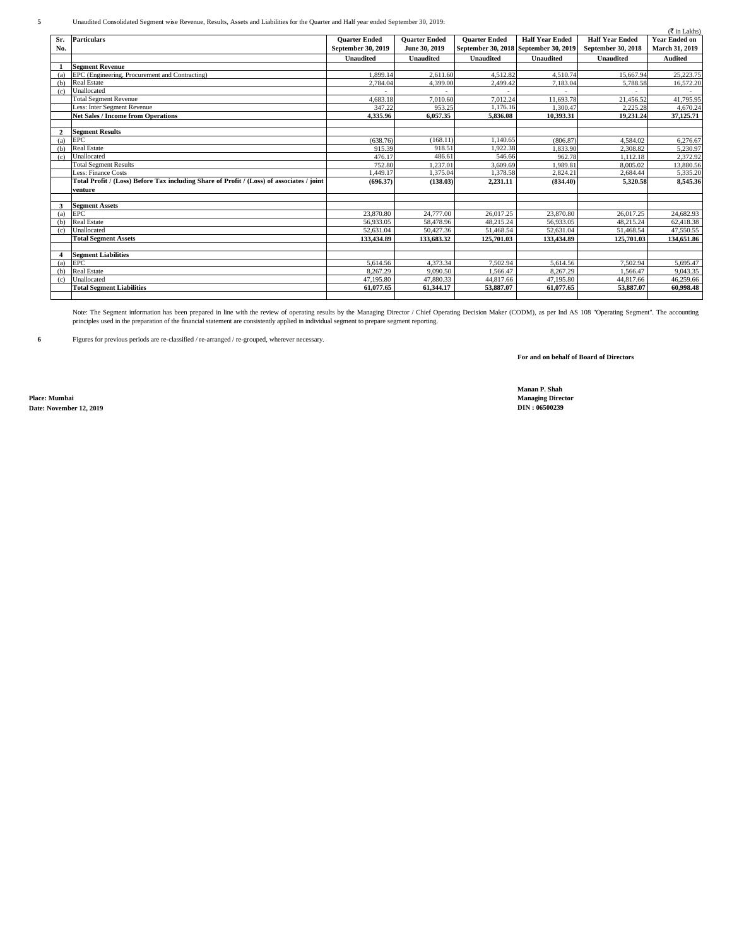**5** Unaudited Consolidated Segment wise Revenue, Results, Assets and Liabilities for the Quarter and Half year ended September 30, 2019:

|                |                                                                                           |                      |                      |                                       |                        |                        | $(\overline{\tau}$ in Lakhs) |
|----------------|-------------------------------------------------------------------------------------------|----------------------|----------------------|---------------------------------------|------------------------|------------------------|------------------------------|
| Sr.            | <b>Particulars</b>                                                                        | <b>Quarter Ended</b> | <b>Quarter Ended</b> | <b>Quarter Ended</b>                  | <b>Half Year Ended</b> | <b>Half Year Ended</b> | <b>Year Ended on</b>         |
| No.            |                                                                                           | September 30, 2019   | June 30, 2019        | September 30, 2018 September 30, 2019 |                        | September 30, 2018     | <b>March 31, 2019</b>        |
|                |                                                                                           | <b>Unaudited</b>     | Unaudited            | <b>Unaudited</b>                      | Unaudited              | <b>Unaudited</b>       | <b>Audited</b>               |
|                | <b>Segment Revenue</b>                                                                    |                      |                      |                                       |                        |                        |                              |
| (a)            | EPC (Engineering, Procurement and Contracting)                                            | 1.899.14             | 2.611.60             | 4.512.82                              | 4.510.74               | 15,667.94              | 25,223.75                    |
| (b)            | <b>Real Estate</b>                                                                        | 2,784.04             | 4,399.00             | 2.499.42                              | 7.183.04               | 5.788.58               | 16,572.20                    |
| (c)            | Unallocated                                                                               |                      |                      |                                       |                        |                        |                              |
|                | <b>Total Segment Revenue</b>                                                              | 4,683.18             | 7,010.60             | 7.012.24                              | 11,693.78              | 21,456.52              | 41,795.95                    |
|                | Less: Inter Segment Revenue                                                               | 347.22               | 953.25               | 1.176.16                              | 1,300.47               | 2.225.28               | 4,670.24                     |
|                | <b>Net Sales / Income from Operations</b>                                                 | 4.335.96             | 6.057.35             | 5.836.08                              | 10.393.31              | 19.231.24              | 37,125,71                    |
|                |                                                                                           |                      |                      |                                       |                        |                        |                              |
| $\overline{2}$ | <b>Segment Results</b>                                                                    |                      |                      |                                       |                        |                        |                              |
| (a)            | <b>EPC</b>                                                                                | (638.76)             | (168.11)             | 1.140.65                              | (806.87)               | 4.584.02               | 6,276.67                     |
| (b)            | <b>Real Estate</b>                                                                        | 915.39               | 918.51               | 1.922.38                              | 1,833.90               | 2.308.82               | 5,230.97                     |
| (c)            | Unallocated                                                                               | 476.17               | 486.61               | 546.66                                | 962.78                 | 1.112.18               | 2.372.92                     |
|                | <b>Total Segment Results</b>                                                              | 752.80               | 1.237.01             | 3.609.69                              | 1.989.81               | 8.005.02               | 13,880.56                    |
|                | Less: Finance Costs                                                                       | 1,449.17             | 1,375.04             | 1,378.58                              | 2,824.21               | 2,684.44               | 5,335.20                     |
|                | Total Profit / (Loss) Before Tax including Share of Profit / (Loss) of associates / joint | (696.37)             | (138.03)             | 2,231.11                              | (834.40)               | 5,320.58               | 8,545.36                     |
|                | venture                                                                                   |                      |                      |                                       |                        |                        |                              |
|                |                                                                                           |                      |                      |                                       |                        |                        |                              |
| $\mathbf{3}$   | <b>Segment Assets</b>                                                                     |                      |                      |                                       |                        |                        |                              |
| (a)            | <b>EPC</b>                                                                                | 23,870.80            | 24,777,00            | 26.017.25                             | 23,870.80              | 26,017.25              | 24,682.93                    |
| (b)            | <b>Real Estate</b>                                                                        | 56,933.05            | 58,478.96            | 48.215.24                             | 56.933.05              | 48.215.24              | 62,418.38                    |
| (c)            | Unallocated                                                                               | 52,631.04            | 50,427.36            | 51,468.54                             | 52.631.04              | 51,468.54              | 47,550.55                    |
|                | <b>Total Segment Assets</b>                                                               | 133,434.89           | 133,683.32           | 125,701.03                            | 133,434.89             | 125,701.03             | 134,651.86                   |
|                |                                                                                           |                      |                      |                                       |                        |                        |                              |
| 4              | <b>Segment Liabilities</b>                                                                |                      |                      |                                       |                        |                        |                              |
| (a)            | EPC.                                                                                      | 5.614.56             | 4,373.34             | 7.502.94                              | 5.614.56               | 7.502.94               | 5.695.47                     |
| (b)            | <b>Real Estate</b>                                                                        | 8.267.29             | 9,090.50             | 1.566.47                              | 8.267.29               | 1.566.47               | 9.043.35                     |
| (c)            | Unallocated                                                                               | 47.195.80            | 47,880.33            | 44,817.66                             | 47.195.80              | 44,817.66              | 46.259.66                    |
|                | <b>Total Segment Liabilities</b>                                                          | 61,077.65            | 61,344.17            | 53,887.07                             | 61,077.65              | 53,887.07              | 60,998.48                    |
|                |                                                                                           |                      |                      |                                       |                        |                        |                              |

Note: The Segment information has been prepared in line with the review of operating results by the Managing Director / Chief Operating Decision Maker (CODM), as per Ind AS 108 "Operating Segment". The accounting<br>principle

**6** Figures for previous periods are re-classified / re-arranged / re-grouped, wherever necessary.

**For and on behalf of Board of Directors**

**Place: Mumbai Managing Director Date: November 12, 2019** 

**Manan P. Shah**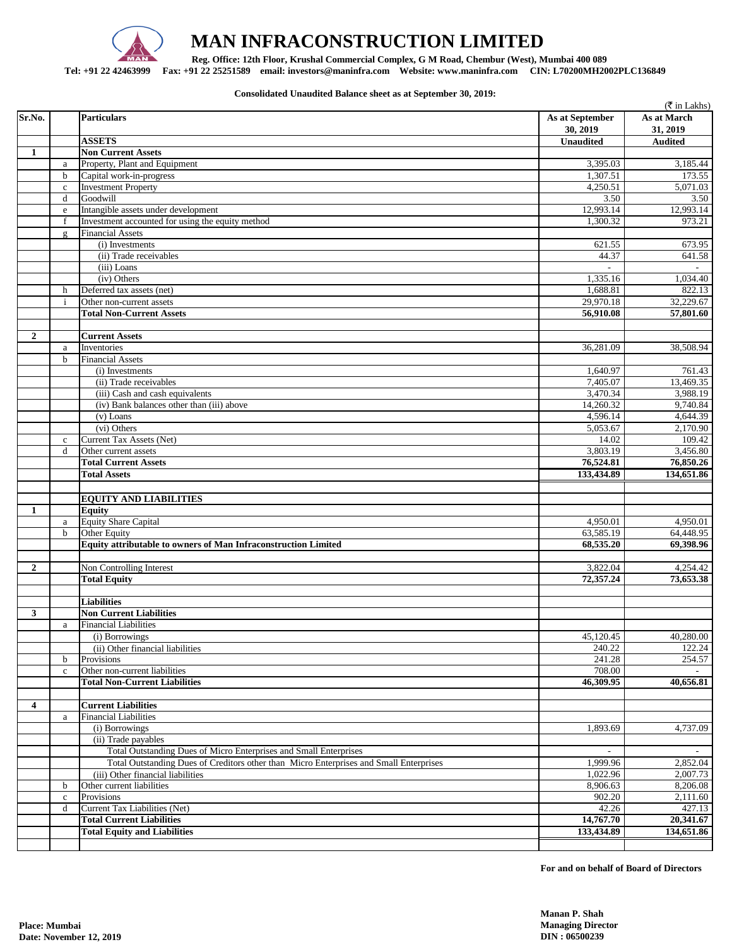

# **MAN INFRACONSTRUCTION LIMITED**

 **Reg. Office: 12th Floor, Krushal Commercial Complex, G M Road, Chembur (West), Mumbai 400 089** 

**Tel: +91 22 42463999 Fax: +91 22 25251589 email: investors@maninfra.com Website: www.maninfra.com CIN: L70200MH2002PLC136849**

**Consolidated Unaudited Balance sheet as at September 30, 2019:**

|                         |                      |                                                                                        |                             | (₹ in Lakhs)            |
|-------------------------|----------------------|----------------------------------------------------------------------------------------|-----------------------------|-------------------------|
| Sr.No.                  |                      | <b>Particulars</b>                                                                     | As at September<br>30, 2019 | As at March<br>31, 2019 |
|                         |                      | <b>ASSETS</b>                                                                          | <b>Unaudited</b>            | <b>Audited</b>          |
| 1                       |                      | <b>Non Current Assets</b>                                                              |                             |                         |
|                         | a                    | Property, Plant and Equipment                                                          | 3,395.03                    | 3,185.44                |
|                         | $\mathbf b$          | Capital work-in-progress                                                               | 1,307.51                    | 173.55                  |
|                         | $\mathbf{c}$         | <b>Investment Property</b>                                                             | 4.250.51                    | 5,071.03                |
|                         | d                    | Goodwill                                                                               | 3.50                        | 3.50                    |
|                         | e                    | Intangible assets under development                                                    | 12,993.14                   | 12,993.14               |
|                         | f                    | Investment accounted for using the equity method                                       | 1,300.32                    | 973.21                  |
|                         | $\underline{\sigma}$ | <b>Financial Assets</b>                                                                |                             |                         |
|                         |                      | (i) Investments                                                                        | 621.55                      | 673.95                  |
|                         |                      | (ii) Trade receivables                                                                 | 44.37                       | 641.58                  |
|                         |                      | (iii) Loans                                                                            |                             |                         |
|                         |                      | (iv) Others                                                                            | 1,335.16                    | 1,034.40                |
|                         | h                    | Deferred tax assets (net)                                                              | 1,688.81                    | 822.13                  |
|                         | $\mathbf{i}$         | Other non-current assets                                                               | 29,970.18                   | 32,229.67               |
|                         |                      | <b>Total Non-Current Assets</b>                                                        | 56,910.08                   | 57,801.60               |
|                         |                      |                                                                                        |                             |                         |
| $\mathbf{2}$            |                      | <b>Current Assets</b>                                                                  |                             |                         |
|                         | a<br>$\mathbf b$     | Inventories<br><b>Financial Assets</b>                                                 | 36,281.09                   | 38,508.94               |
|                         |                      |                                                                                        |                             |                         |
|                         |                      | (i) Investments<br>(ii) Trade receivables                                              | 1,640.97<br>7.405.07        | 761.43                  |
|                         |                      | (iii) Cash and cash equivalents                                                        | 3,470.34                    | 13,469.35<br>3,988.19   |
|                         |                      | (iv) Bank balances other than (iii) above                                              | 14,260.32                   | 9,740.84                |
|                         |                      | $(v)$ Loans                                                                            | 4,596.14                    | 4,644.39                |
|                         |                      | (vi) Others                                                                            | 5,053.67                    | 2,170.90                |
|                         | $\mathbf{c}$         | Current Tax Assets (Net)                                                               | 14.02                       | 109.42                  |
|                         | d                    | Other current assets                                                                   | 3,803.19                    | 3,456.80                |
|                         |                      | <b>Total Current Assets</b>                                                            | 76,524.81                   | 76,850.26               |
|                         |                      | <b>Total Assets</b>                                                                    | 133,434.89                  | 134,651.86              |
|                         |                      |                                                                                        |                             |                         |
|                         |                      | <b>EQUITY AND LIABILITIES</b>                                                          |                             |                         |
| 1                       |                      | <b>Equity</b>                                                                          |                             |                         |
|                         | a                    | <b>Equity Share Capital</b>                                                            | 4,950.01                    | 4,950.01                |
|                         | $\mathbf b$          | Other Equity                                                                           | 63,585.19                   | 64,448.95               |
|                         |                      | Equity attributable to owners of Man Infraconstruction Limited                         | 68,535.20                   | 69,398.96               |
|                         |                      |                                                                                        |                             |                         |
| $\mathbf{2}$            |                      | Non Controlling Interest                                                               | 3,822.04                    | 4,254.42                |
|                         |                      | <b>Total Equity</b>                                                                    | 72,357.24                   | 73,653.38               |
|                         |                      |                                                                                        |                             |                         |
|                         |                      | <b>Liabilities</b>                                                                     |                             |                         |
| 3                       |                      | <b>Non Current Liabilities</b>                                                         |                             |                         |
|                         | a                    | <b>Financial Liabilities</b>                                                           |                             |                         |
|                         |                      | (i) Borrowings                                                                         | 45,120.45                   | 40,280.00               |
|                         |                      | (ii) Other financial liabilities                                                       | 240.22                      | 122.24                  |
|                         | b                    | Provisions                                                                             | 241.28                      | 254.57                  |
|                         | $\mathbf c$          | Other non-current liabilities                                                          | 708.00                      |                         |
|                         |                      | <b>Total Non-Current Liabilities</b>                                                   | 46,309.95                   | 40,656.81               |
|                         |                      |                                                                                        |                             |                         |
| $\overline{\mathbf{4}}$ |                      | <b>Current Liabilities</b>                                                             |                             |                         |
|                         | a                    | <b>Financial Liabilities</b>                                                           |                             |                         |
|                         |                      | (i) Borrowings                                                                         | 1,893.69                    | 4,737.09                |
|                         |                      | (ii) Trade payables                                                                    |                             |                         |
|                         |                      | Total Outstanding Dues of Micro Enterprises and Small Enterprises                      |                             |                         |
|                         |                      | Total Outstanding Dues of Creditors other than Micro Enterprises and Small Enterprises | 1,999.96                    | 2,852.04                |
|                         |                      | (iii) Other financial liabilities                                                      | 1,022.96                    | 2,007.73                |
|                         | $\mathbf b$          | Other current liabilities                                                              | 8,906.63                    | 8,206.08                |
|                         | $\mathbf c$          | Provisions                                                                             | 902.20                      | 2,111.60                |
|                         | d                    | Current Tax Liabilities (Net)                                                          | 42.26                       | 427.13                  |
|                         |                      | <b>Total Current Liabilities</b>                                                       | 14,767.70                   | 20,341.67               |
|                         |                      | <b>Total Equity and Liabilities</b>                                                    | 133,434.89                  | 134,651.86              |
|                         |                      |                                                                                        |                             |                         |

**For and on behalf of Board of Directors**